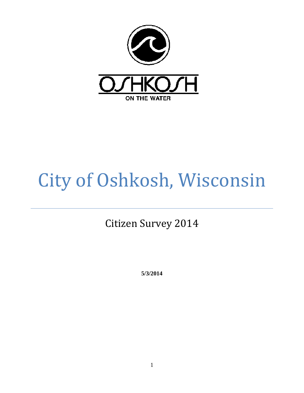

# City of Oshkosh, Wisconsin

Citizen Survey 2014

**5/3/2014**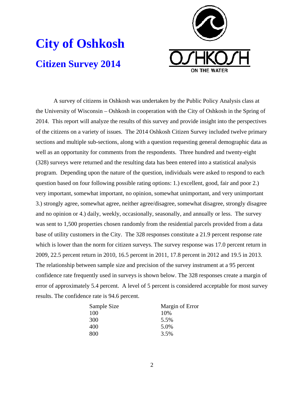



A survey of citizens in Oshkosh was undertaken by the Public Policy Analysis class at the University of Wisconsin – Oshkosh in cooperation with the City of Oshkosh in the Spring of 2014. This report will analyze the results of this survey and provide insight into the perspectives of the citizens on a variety of issues. The 2014 Oshkosh Citizen Survey included twelve primary sections and multiple sub-sections, along with a question requesting general demographic data as well as an opportunity for comments from the respondents. Three hundred and twenty-eight (328) surveys were returned and the resulting data has been entered into a statistical analysis program. Depending upon the nature of the question, individuals were asked to respond to each question based on four following possible rating options: 1.) excellent, good, fair and poor 2.) very important, somewhat important, no opinion, somewhat unimportant, and very unimportant 3.) strongly agree, somewhat agree, neither agree/disagree, somewhat disagree, strongly disagree and no opinion or 4.) daily, weekly, occasionally, seasonally, and annually or less. The survey was sent to 1,500 properties chosen randomly from the residential parcels provided from a data base of utility customers in the City. The 328 responses constitute a 21.9 percent response rate which is lower than the norm for citizen surveys. The survey response was 17.0 percent return in 2009, 22.5 percent return in 2010, 16.5 percent in 2011, 17.8 percent in 2012 and 19.5 in 2013. The relationship between sample size and precision of the survey instrument at a 95 percent confidence rate frequently used in surveys is shown below. The 328 responses create a margin of error of approximately 5.4 percent. A level of 5 percent is considered acceptable for most survey results. The confidence rate is 94.6 percent.

| Sample Size | Margin of Error |
|-------------|-----------------|
| 100         | 10%             |
| 300         | 5.5%            |
| 400         | 5.0%            |
| 800         | 3.5%            |

2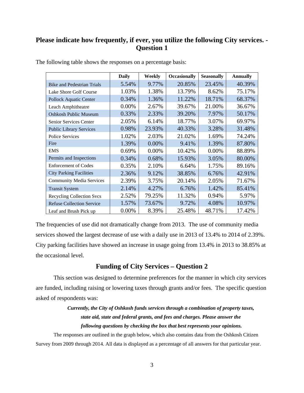## **Please indicate how frequently, if ever, you utilize the following City services. - Question 1**

|                                   | <b>Daily</b> | Weekly | <b>Occasionally</b> | <b>Seasonally</b> | <b>Annually</b> |
|-----------------------------------|--------------|--------|---------------------|-------------------|-----------------|
| <b>Bike and Pedestrian Trials</b> | 5.54%        | 9.77%  | 20.85%              | 23.45%            | 40.39%          |
| Lake Shore Golf Course            | 1.03%        | 1.38%  | 13.79%              | 8.62%             | 75.17%          |
| <b>Pollock Aquatic Center</b>     | 0.34%        | 1.36%  | 11.22%              | 18.71%            | 68.37%          |
| Leach Amphitheatre                | 0.00%        | 2.67%  | 39.67%              | 21.00%            | 36.67%          |
| <b>Oshkosh Public Museum</b>      | 0.33%        | 2.33%  | 39.20%              | 7.97%             | 50.17%          |
| <b>Senior Services Center</b>     | 2.05%        | 6.14%  | 18.77%              | 3.07%             | 69.97%          |
| <b>Public Library Services</b>    | 0.98%        | 23.93% | 40.33%              | 3.28%             | 31.48%          |
| <b>Police Services</b>            | 1.02%        | 2.03%  | 21.02%              | 1.69%             | 74.24%          |
| Fire                              | 1.39%        | 0.00%  | 9.41%               | 1.39%             | 87.80%          |
| <b>EMS</b>                        | 0.69%        | 0.00%  | 10.42%              | 0.00%             | 88.89%          |
| Permits and Inspections           | 0.34%        | 0.68%  | 15.93%              | 3.05%             | 80.00%          |
| <b>Enforcement of Codes</b>       | 0.35%        | 2.10%  | 6.64%               | 1.75%             | 89.16%          |
| <b>City Parking Facilities</b>    | 2.36%        | 9.12%  | 38.85%              | 6.76%             | 42.91%          |
| <b>Community Media Services</b>   | 2.39%        | 3.75%  | 20.14%              | 2.05%             | 71.67%          |
| <b>Transit System</b>             | 2.14%        | 4.27%  | 6.76%               | 1.42%             | 85.41%          |
| <b>Recycling Collection Svcs</b>  | 2.52%        | 79.25% | 11.32%              | 0.94%             | 5.97%           |
| <b>Refuse Collection Service</b>  | 1.57%        | 73.67% | 9.72%               | 4.08%             | 10.97%          |
| Leaf and Brush Pick up            | 0.00%        | 8.39%  | 25.48%              | 48.71%            | 17.42%          |

The following table shows the responses on a percentage basis:

The frequencies of use did not dramatically change from 2013. The use of community media services showed the largest decrease of use with a daily use in 2013 of 13.4% to 2014 of 2.39%. City parking facilities have showed an increase in usage going from 13.4% in 2013 to 38.85% at the occasional level.

## **Funding of City Services – Question 2**

This section was designed to determine preferences for the manner in which city services are funded, including raising or lowering taxes through grants and/or fees. The specific question asked of respondents was:

## *Currently, the City of Oshkosh funds services through a combination of property taxes, state aid, state and federal grants, and fees and charges. Please answer the following questions by checking the box that best represents your opinions.*

The responses are outlined in the graph below, which also contains data from the Oshkosh Citizen Survey from 2009 through 2014. All data is displayed as a percentage of all answers for that particular year.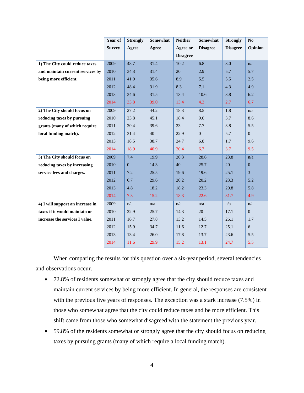|                                  | Year of       | <b>Strongly</b> | Somewhat | <b>Neither</b>  | Somewhat        | <b>Strongly</b> | N <sub>0</sub>   |
|----------------------------------|---------------|-----------------|----------|-----------------|-----------------|-----------------|------------------|
|                                  | <b>Survey</b> | Agree           | Agree    | Agree or        | <b>Disagree</b> | <b>Disagree</b> | Opinion          |
|                                  |               |                 |          | <b>Disagree</b> |                 |                 |                  |
| 1) The City could reduce taxes   | 2009          | 48.7            | 31.4     | 10.2            | 6.8             | 3.0             | n/a              |
| and maintain current services by | 2010          | 34.3            | 31.4     | 20              | 2.9             | 5.7             | 5.7              |
| being more efficient.            | 2011          | 41.9            | 35.6     | 8.9             | 5.5             | 5.5             | 2.5              |
|                                  | 2012          | 48.4            | 31.9     | 8.3             | 7.1             | 4.3             | 4.9              |
|                                  | 2013          | 34.6            | 31.5     | 13.4            | 10.6            | 3.8             | 6.2              |
|                                  | 2014          | 33.8            | 39.0     | 13.4            | 4.3             | 2.7             | 6.7              |
| 2) The City should focus on      | 2009          | 27.2            | 44.2     | 18.3            | 8.5             | 1.8             | n/a              |
| reducing taxes by pursuing       | 2010          | 23.8            | 45.1     | 18.4            | 9.0             | 3.7             | 8.6              |
| grants (many of which require    | 2011          | 20.4            | 39.6     | 23              | 7.7             | 3.8             | 5.5              |
| local funding match).            | 2012          | 31.4            | 40       | 22.9            | $\overline{0}$  | 5.7             | $\overline{0}$   |
|                                  | 2013          | 18.5            | 38.7     | 24.7            | 6.8             | 1.7             | 9.6              |
|                                  | 2014          | 18.9            | 40.9     | 20.4            | 6.7             | 3.7             | 9.5              |
| 3) The City should focus on      | 2009          | 7.4             | 19.9     | 20.3            | 28.6            | 23.8            | n/a              |
| reducing taxes by increasing     | 2010          | $\Omega$        | 14.3     | 40              | 25.7            | 20              | $\Omega$         |
| service fees and charges.        | 2011          | 7.2             | 25.5     | 19.6            | 19.6            | 25.1            | 3                |
|                                  | 2012          | 6.7             | 29.6     | 20.2            | 20.2            | 23.3            | 5.2              |
|                                  | 2013          | 4.8             | 18.2     | 18.2            | 23.3            | 29.8            | 5.8              |
|                                  | 2014          | 7.3             | 15.2     | 18.3            | 22.6            | 31.7            | 4.9              |
| 4) I will support an increase in | 2009          | n/a             | n/a      | n/a             | n/a             | n/a             | n/a              |
| taxes if it would maintain or    | 2010          | 22.9            | 25.7     | 14.3            | 20              | 17.1            | $\boldsymbol{0}$ |
| increase the services I value.   | 2011          | 16.7            | 27.8     | 13.2            | 14.5            | 26.1            | 1.7              |
|                                  | 2012          | 15.9            | 34.7     | 11.6            | 12.7            | 25.1            | 6                |
|                                  | 2013          | 13.4            | 26.0     | 17.8            | 13.7            | 23.6            | 5.5              |
|                                  | 2014          | 11.6            | 29.9     | 15.2            | 13.1            | 24.7            | 5.5              |
|                                  |               |                 |          |                 |                 |                 |                  |

When comparing the results for this question over a six-year period, several tendencies and observations occur.

- 72.8% of residents somewhat or strongly agree that the city should reduce taxes and maintain current services by being more efficient. In general, the responses are consistent with the previous five years of responses. The exception was a stark increase (7.5%) in those who somewhat agree that the city could reduce taxes and be more efficient. This shift came from those who somewhat disagreed with the statement the previous year.
- 59.8% of the residents somewhat or strongly agree that the city should focus on reducing taxes by pursuing grants (many of which require a local funding match).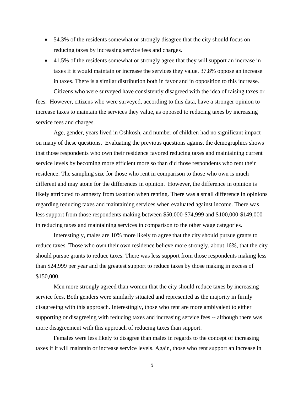- 54.3% of the residents somewhat or strongly disagree that the city should focus on reducing taxes by increasing service fees and charges.
- 41.5% of the residents somewhat or strongly agree that they will support an increase in taxes if it would maintain or increase the services they value. 37.8% oppose an increase in taxes. There is a similar distribution both in favor and in opposition to this increase. Citizens who were surveyed have consistently disagreed with the idea of raising taxes or

fees. However, citizens who were surveyed, according to this data, have a stronger opinion to increase taxes to maintain the services they value, as opposed to reducing taxes by increasing service fees and charges.

Age, gender, years lived in Oshkosh, and number of children had no significant impact on many of these questions. Evaluating the previous questions against the demographics shows that those respondents who own their residence favored reducing taxes and maintaining current service levels by becoming more efficient more so than did those respondents who rent their residence. The sampling size for those who rent in comparison to those who own is much different and may atone for the differences in opinion. However, the difference in opinion is likely attributed to amnesty from taxation when renting. There was a small difference in opinions regarding reducing taxes and maintaining services when evaluated against income. There was less support from those respondents making between \$50,000-\$74,999 and S100,000-\$149,000 in reducing taxes and maintaining services in comparison to the other wage categories.

Interestingly, males are 10% more likely to agree that the city should pursue grants to reduce taxes. Those who own their own residence believe more strongly, about 16%, that the city should pursue grants to reduce taxes. There was less support from those respondents making less than \$24,999 per year and the greatest support to reduce taxes by those making in excess of \$150,000.

Men more strongly agreed than women that the city should reduce taxes by increasing service fees. Both genders were similarly situated and represented as the majority in firmly disagreeing with this approach. Interestingly, those who rent are more ambivalent to either supporting or disagreeing with reducing taxes and increasing service fees -- although there was more disagreement with this approach of reducing taxes than support.

Females were less likely to disagree than males in regards to the concept of increasing taxes if it will maintain or increase service levels. Again, those who rent support an increase in

5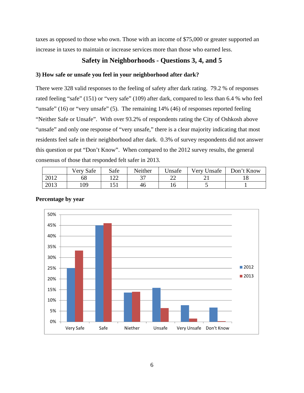taxes as opposed to those who own. Those with an income of \$75,000 or greater supported an increase in taxes to maintain or increase services more than those who earned less.

## **Safety in Neighborhoods - Questions 3, 4, and 5**

#### **3) How safe or unsafe you feel in your neighborhood after dark?**

There were 328 valid responses to the feeling of safety after dark rating. 79.2 % of responses rated feeling "safe" (151) or "very safe" (109) after dark, compared to less than 6.4 % who feel "unsafe" (16) or "very unsafe" (5). The remaining 14% (46) of responses reported feeling "Neither Safe or Unsafe". With over 93.2% of respondents rating the City of Oshkosh above "unsafe" and only one response of "very unsafe," there is a clear majority indicating that most residents feel safe in their neighborhood after dark. 0.3% of survey respondents did not answer this question or put "Don't Know". When compared to the 2012 survey results, the general consensus of those that responded felt safer in 2013.

|      | Safe<br>Very. | Safe          | Neither        | Jnsafe | Very<br>Jnsafe | Don't Know |
|------|---------------|---------------|----------------|--------|----------------|------------|
| 2012 | 68            | $\cap$<br>ے ک | $\sim$<br>ັບ 1 | ົ<br>⊷ | ∸              | 10         |
| 2013 | 109           | 151<br>⊥ J ⊥  | 46             | 16     |                |            |



#### **Percentage by year**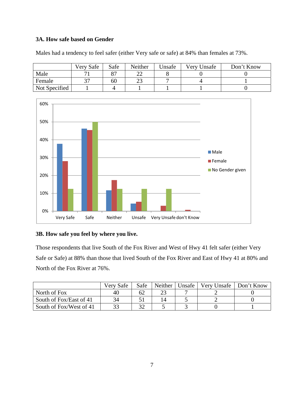#### **3A. How safe based on Gender**

|               | Very Safe | Safe | Neither | Unsafe | Very Unsafe | Don't Know |
|---------------|-----------|------|---------|--------|-------------|------------|
| Male          |           |      |         |        |             |            |
| Female        |           | 60   |         |        |             |            |
| Not Specified |           |      |         |        |             |            |

Males had a tendency to feel safer (either Very safe or safe) at 84% than females at 73%.



#### **3B. How safe you feel by where you live.**

Those respondents that live South of the Fox River and West of Hwy 41 felt safer (either Very Safe or Safe) at 88% than those that lived South of the Fox River and East of Hwy 41 at 80% and North of the Fox River at 76%.

|                         | Very Safe | Safe | Neither | Unsafe | Very Unsafe | Don't Know |
|-------------------------|-----------|------|---------|--------|-------------|------------|
| North of Fox            | 40        | 62   |         |        |             |            |
| South of Fox/East of 41 | 34        |      |         |        |             |            |
| South of Fox/West of 41 | າາ        | າາ   |         |        |             |            |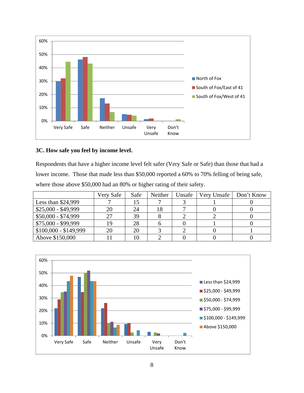

#### **3C. How safe you feel by income level.**

Respondents that have a higher income level felt safer (Very Safe or Safe) than those that had a lower income. Those that made less than \$50,000 reported a 60% to 70% felling of being safe, where those above \$50,000 had an 80% or higher rating of their safety.

|                       | Very Safe | Safe | Neither | Unsafe | Very Unsafe | Don't Know |
|-----------------------|-----------|------|---------|--------|-------------|------------|
| Less than $$24,999$   |           | 15   |         |        |             |            |
| $$25,000 - $49,999$   | 20        | 24   | 18      |        |             |            |
| $$50,000 - $74,999$   | 27        | 39   |         |        |             |            |
| \$75,000 - \$99,999   | 19        | 28   |         |        |             |            |
| $$100,000 - $149,999$ | 20        | 20   |         |        |             |            |
| Above \$150,000       |           | 10   |         |        |             |            |

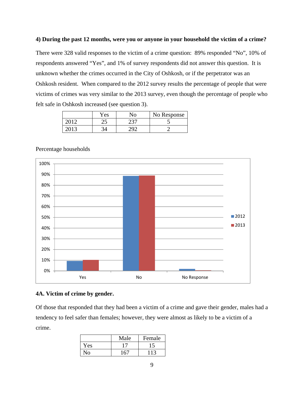#### **4) During the past 12 months, were you or anyone in your household the victim of a crime?**

There were 328 valid responses to the victim of a crime question: 89% responded "No", 10% of respondents answered "Yes", and 1% of survey respondents did not answer this question. It is unknown whether the crimes occurred in the City of Oshkosh, or if the perpetrator was an Oshkosh resident. When compared to the 2012 survey results the percentage of people that were victims of crimes was very similar to the 2013 survey, even though the percentage of people who felt safe in Oshkosh increased (see question 3).

| Y es | No     | No Response |
|------|--------|-------------|
| ىس   | $\cap$ |             |
|      | า∩^    |             |



#### Percentage households

#### **4A. Victim of crime by gender.**

Of those that responded that they had been a victim of a crime and gave their gender, males had a tendency to feel safer than females; however, they were almost as likely to be a victim of a crime.

|      | Male | Female |
|------|------|--------|
| Yes. |      |        |
| Nο   |      |        |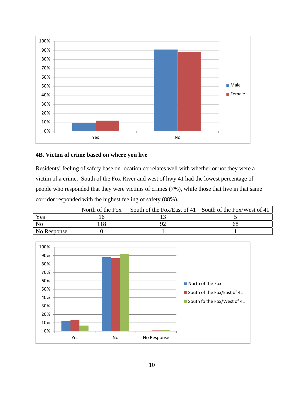

#### **4B. Victim of crime based on where you live**

Residents' feeling of safety base on location correlates well with whether or not they were a victim of a crime. South of the Fox River and west of hwy 41 had the lowest percentage of people who responded that they were victims of crimes (7%), while those that live in that same corridor responded with the highest feeling of safety (88%).

|             | North of the Fox | South of the Fox/East of 41   South of the Fox/West of 41 |
|-------------|------------------|-----------------------------------------------------------|
| Yes         |                  |                                                           |
| No          |                  |                                                           |
| No Response |                  |                                                           |

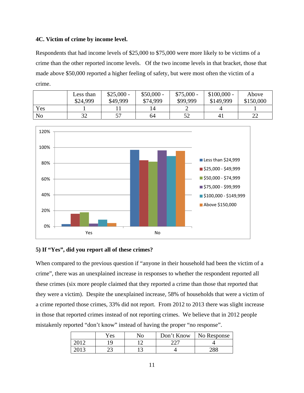#### **4C. Victim of crime by income level.**

Respondents that had income levels of \$25,000 to \$75,000 were more likely to be victims of a crime than the other reported income levels. Of the two income levels in that bracket, those that made above \$50,000 reported a higher feeling of safety, but were most often the victim of a crime.

|                | Less than<br>\$24,999 | $$25,000 -$<br>\$49,999 | $$50,000 -$<br>\$74,999 | $$75,000 -$<br>\$99,999 | $$100,000 -$<br>\$149,999 | Above<br>\$150,000 |
|----------------|-----------------------|-------------------------|-------------------------|-------------------------|---------------------------|--------------------|
| Yes            |                       |                         |                         |                         |                           |                    |
| N <sub>0</sub> | 20<br>ے ر             | 57                      | 64                      | 50<br>ے ر               | 4 <sub>1</sub>            | ∠∠                 |



#### **5) If "Yes", did you report all of these crimes?**

When compared to the previous question if "anyone in their household had been the victim of a crime", there was an unexplained increase in responses to whether the respondent reported all these crimes (six more people claimed that they reported a crime than those that reported that they were a victim). Despite the unexplained increase, 58% of households that were a victim of a crime reported those crimes, 33% did not report. From 2012 to 2013 there was slight increase in those that reported crimes instead of not reporting crimes. We believe that in 2012 people mistakenly reported "don't know" instead of having the proper "no response".

|      | $\rm\,Yes$ | No | Don't Know | No Response |
|------|------------|----|------------|-------------|
| 2012 | 1 Q        |    |            |             |
| 2012 | رے         |    |            | າດດ         |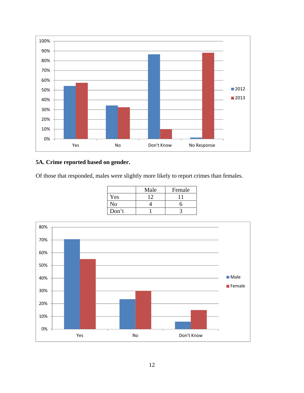

## **5A. Crime reported based on gender.**

Of those that responded, males were slightly more likely to report crimes than females.

|       | Male | Female |
|-------|------|--------|
| Yes   |      |        |
| No    |      |        |
| Don't |      |        |

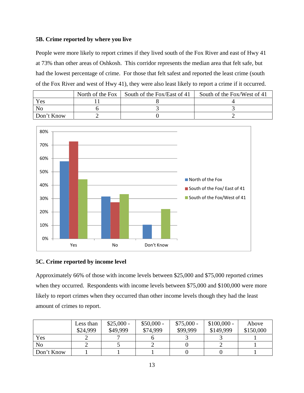#### **5B. Crime reported by where you live**

People were more likely to report crimes if they lived south of the Fox River and east of Hwy 41 at 73% than other areas of Oshkosh. This corridor represents the median area that felt safe, but had the lowest percentage of crime. For those that felt safest and reported the least crime (south of the Fox River and west of Hwy 41), they were also least likely to report a crime if it occurred.

|            | North of the Fox | South of the Fox/East of 41 | South of the Fox/West of 41 |
|------------|------------------|-----------------------------|-----------------------------|
| Yes        |                  |                             |                             |
| No         |                  |                             |                             |
| Don't Know |                  |                             |                             |



#### **5C. Crime reported by income level**

Approximately 66% of those with income levels between \$25,000 and \$75,000 reported crimes when they occurred. Respondents with income levels between \$75,000 and \$100,000 were more likely to report crimes when they occurred than other income levels though they had the least amount of crimes to report.

|                | Less than<br>\$24,999 | $$25,000 -$<br>\$49,999 | $$50,000 -$<br>\$74,999 | $$75,000 -$<br>\$99,999 | $$100,000 -$<br>\$149,999 | Above<br>\$150,000 |
|----------------|-----------------------|-------------------------|-------------------------|-------------------------|---------------------------|--------------------|
| Yes            |                       |                         |                         |                         |                           |                    |
| N <sub>o</sub> |                       |                         |                         |                         |                           |                    |
| Don't Know     |                       |                         |                         |                         |                           |                    |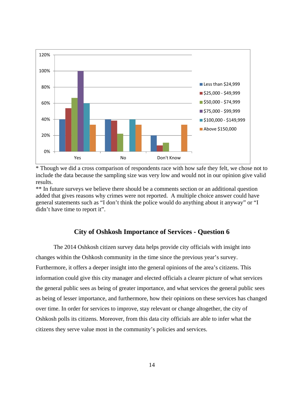

\* Though we did a cross comparison of respondents race with how safe they felt, we chose not to include the data because the sampling size was very low and would not in our opinion give valid results.

\*\* In future surveys we believe there should be a comments section or an additional question added that gives reasons why crimes were not reported. A multiple choice answer could have general statements such as "I don't think the police would do anything about it anyway" or "I didn't have time to report it".

#### **City of Oshkosh Importance of Services - Question 6**

The 2014 Oshkosh citizen survey data helps provide city officials with insight into changes within the Oshkosh community in the time since the previous year's survey. Furthermore, it offers a deeper insight into the general opinions of the area's citizens. This information could give this city manager and elected officials a clearer picture of what services the general public sees as being of greater importance, and what services the general public sees as being of lesser importance, and furthermore, how their opinions on these services has changed over time. In order for services to improve, stay relevant or change altogether, the city of Oshkosh polls its citizens. Moreover, from this data city officials are able to infer what the citizens they serve value most in the community's policies and services.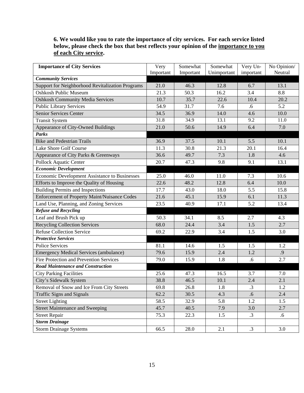| 6. We would like you to rate the importance of city services. For each service listed |
|---------------------------------------------------------------------------------------|
| below, please check the box that best reflects your opinion of the importance to you  |
| of each City service.                                                                 |

| <b>Importance of City Services</b>                  | Very      | Somewhat  | Somewhat    | Very Un-  | No Opinion/ |
|-----------------------------------------------------|-----------|-----------|-------------|-----------|-------------|
|                                                     | Important | Important | Unimportant | important | Neutral     |
| <b>Community Services</b>                           |           |           |             |           |             |
| Support for Neighborhood Revitalization Programs    | 21.0      | 46.3      | 12.8        | 6.7       | 13.1        |
| <b>Oshkosh Public Museum</b>                        | 21.3      | 50.3      | 16.2        | 3.4       | 8.8         |
| <b>Oshkosh Community Media Services</b>             | 10.7      | 35.7      | 22.6        | 10.4      | 20.2        |
| <b>Public Library Services</b>                      | 54.9      | 31.7      | 7.6         | .6        | 5.2         |
| Senior Services Center                              | 34.5      | 36.9      | 14.0        | 4.6       | 10.0        |
| <b>Transit System</b>                               | 31.8      | 34.9      | 13.1        | 9.2       | 11.0        |
| Appearance of City-Owned Buildings                  | 21.0      | 50.6      | 14.9        | 6.4       | 7.0         |
| <b>Parks</b>                                        |           |           |             |           |             |
| <b>Bike and Pedestrian Trails</b>                   | 36.9      | 37.5      | 10.1        | 5.5       | 10.1        |
| Lake Shore Golf Course                              | 11.3      | 30.8      | 21.3        | 20.1      | 16.4        |
| Appearance of City Parks & Greenways                | 36.6      | 49.7      | 7.3         | 1.8       | 4.6         |
| Pollock Aquatic Center                              | 20.7      | 47.3      | 9.8         | 9.1       | 13.1        |
| <b>Economic Development</b>                         |           |           |             |           |             |
| Economic Development Assistance to Businesses       | 25.0      | 46.0      | 11.0        | 7.3       | 10.6        |
| Efforts to Improve the Quality of Housing           | 22.6      | 48.2      | 12.8        | 6.4       | 10.0        |
| <b>Building Permits and Inspections</b>             | 17.7      | 43.0      | 18.0        | 5.5       | 15.8        |
| <b>Enforcement of Property Maint/Nuisance Codes</b> | 21.6      | 45.1      | 15.9        | 6.1       | 11.3        |
| Land Use, Planning, and Zoning Services             | 23.5      | 40.9      | 17.1        | 5.2       | 13.4        |
| <b>Refuse and Recycling</b>                         |           |           |             |           |             |
| Leaf and Brush Pick up                              | 50.3      | 34.1      | 8.5         | 2.7       | 4.3         |
| <b>Recycling Collection Services</b>                | 68.0      | 24.4      | 3.4         | 1.5       | 2.7         |
| <b>Refuse Collection Service</b>                    | 69.2      | 22.9      | 3.4         | 1.5       | 3.0         |
| <b>Protective Services</b>                          |           |           |             |           |             |
| <b>Police Services</b>                              | 81.1      | 14.6      | 1.5         | 1.5       | 1.2         |
| <b>Emergency Medical Services (ambulance)</b>       | 79.6      | 15.9      | 2.4         | 1.2       | .9          |
| <b>Fire Protection and Prevention Services</b>      | 79.0      | 15.9      | 1.8         | .6        | 2.7         |
| <b>Road Maintenance and Construction</b>            |           |           |             |           |             |
| <b>City Parking Facilities</b>                      | 25.6      | 47.3      | 16.5        | 3.7       | 7.0         |
| City's Sidewalk System                              | 38.8      | 46.5      | 10.1        | 2.4       | 2.1         |
| Removal of Snow and Ice From City Streets           | 69.8      | 26.8      | 1.8         | $\cdot$ 3 | 1.2         |
| Traffic Signs and Signals                           | 62.2      | 30.5      | 4.3         | $.6\,$    | 2.4         |
| <b>Street Lighting</b>                              | 58.5      | 32.9      | 5.8         | 1.2       | 1.5         |
| <b>Street Maintenance and Sweeping</b>              | 45.7      | 40.5      | 7.9         | 3.0       | 2.7         |
| <b>Street Repair</b>                                | 75.3      | 22.3      | 1.5         | $\cdot$ 3 | $.6\,$      |
| <b>Storm Drainage</b>                               |           |           |             |           |             |
| <b>Storm Drainage Systems</b>                       | 66.5      | 28.0      | 2.1         | $\cdot$ 3 | 3.0         |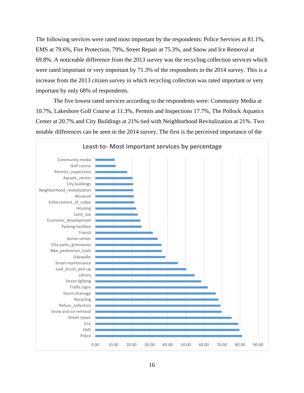The following services were rated most important by the respondents: Police Services at 81.1%, EMS at 79.6%, Fire Protection, 79%, Street Repair at 75.3%, and Snow and Ice Removal at 69.8%. A noticeable difference from the 2013 survey was the recycling collection services which were rated important or very important by 71.3% of the respondents in the 2014 survey. This is a increase from the 2013 citizen survey in which recycling collection was rated important or very important by only 68% of respondents.

The five lowest rated services according to the respondents were: Community Media at 10.7%, Lakeshore Golf Course at 11.3%, Permits and Inspections 17.7%, The Pollock Aquatics Center at 20.7% and City Buildings at 21% tied with Neighborhood Revitalization at 21%. Two notable differences can be seen in the 2014 survey. The first is the perceived importance of the



#### **Least-to- Most important services by percentage**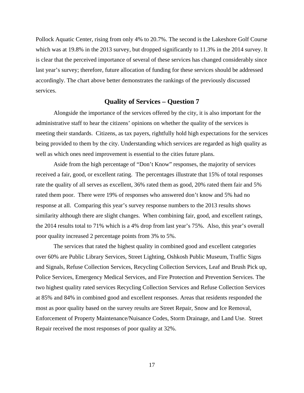Pollock Aquatic Center, rising from only 4% to 20.7%. The second is the Lakeshore Golf Course which was at 19.8% in the 2013 survey, but dropped significantly to 11.3% in the 2014 survey. It is clear that the perceived importance of several of these services has changed considerably since last year's survey; therefore, future allocation of funding for these services should be addressed accordingly. The chart above better demonstrates the rankings of the previously discussed services.

## **Quality of Services – Question 7**

Alongside the importance of the services offered by the city, it is also important for the administrative staff to hear the citizens' opinions on whether the quality of the services is meeting their standards. Citizens, as tax payers, rightfully hold high expectations for the services being provided to them by the city. Understanding which services are regarded as high quality as well as which ones need improvement is essential to the cities future plans.

Aside from the high percentage of "Don't Know" responses, the majority of services received a fair, good, or excellent rating. The percentages illustrate that 15% of total responses rate the quality of all serves as excellent, 36% rated them as good, 20% rated them fair and 5% rated them poor. There were 19% of responses who answered don't know and 5% had no response at all. Comparing this year's survey response numbers to the 2013 results shows similarity although there are slight changes. When combining fair, good, and excellent ratings, the 2014 results total to 71% which is a 4% drop from last year's 75%. Also, this year's overall poor quality increased 2 percentage points from 3% to 5%.

The services that rated the highest quality in combined good and excellent categories over 60% are Public Library Services, Street Lighting, Oshkosh Public Museum, Traffic Signs and Signals, Refuse Collection Services, Recycling Collection Services, Leaf and Brush Pick up, Police Services, Emergency Medical Services, and Fire Protection and Prevention Services. The two highest quality rated services Recycling Collection Services and Refuse Collection Services at 85% and 84% in combined good and excellent responses. Areas that residents responded the most as poor quality based on the survey results are Street Repair, Snow and Ice Removal, Enforcement of Property Maintenance/Nuisance Codes, Storm Drainage, and Land Use. Street Repair received the most responses of poor quality at 32%.

17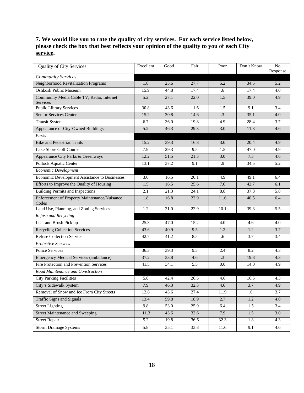#### **7. We would like you to rate the quality of city services. For each service listed below, please check the box that best reflects your opinion of the quality to you of each City service.**

| <b>Quality of City Services</b>                       | Excellent | Good | Fair | Poor            | Don't Know | N <sub>o</sub><br>Response |
|-------------------------------------------------------|-----------|------|------|-----------------|------------|----------------------------|
| <b>Community Services</b>                             |           |      |      |                 |            |                            |
| Neighborhood Revitalization Programs                  | 1.8       | 25.6 | 27.7 | 5.2             | 34.5       | 5.2                        |
| <b>Oshkosh Public Museum</b>                          | 15.9      | 44.8 | 17.4 | .6              | 17.4       | 4.0                        |
| Community Media Cable TV, Radio, Internet<br>Services | 5.2       | 27.1 | 22.0 | 1.5             | 39.0       | 4.9                        |
| <b>Public Library Services</b>                        | 30.8      | 43.6 | 11.6 | 1.5             | 9.1        | 3.4                        |
| Senior Services Center                                | 15.2      | 30.8 | 14.6 | $\overline{.3}$ | 35.1       | 4.0                        |
| <b>Transit System</b>                                 | 6.7       | 36.0 | 19.8 | 4.9             | 28.4       | 3.7                        |
| Appearance of City-Owned Buildings                    | 5.2       | 46.3 | 29.3 | 3.0             | 11.3       | 4.6                        |
| Parks                                                 |           |      |      |                 |            |                            |
| <b>Bike and Pedestrian Trails</b>                     | 15.2      | 39.3 | 16.8 | 3.0             | 20.4       | 4.9                        |
| Lake Shore Golf Course                                | 7.9       | 29.3 | 9.5  | 1.5             | 47.0       | 4.9                        |
| Appearance City Parks & Greenways                     | 12.2      | 51.5 | 21.3 | 3.0             | 7.3        | 4.6                        |
| <b>Pollock Aquatic Center</b>                         | 13.1      | 37.2 | 9.1  | .9              | 34.5       | 5.2                        |
| Economic Development                                  |           |      |      |                 |            |                            |
| Economic Development Assistance to Businesses         | 3.0       | 16.5 | 20.1 | 4.9             | 49.1       | 6.4                        |
| Efforts to Improve the Quality of Housing             | 1.5       | 16.5 | 25.6 | 7.6             | 42.7       | 6.1                        |
| <b>Building Permits and Inspections</b>               | 2.1       | 21.3 | 24.1 | 8.8             | 37.8       | 5.8                        |
| Enforcement of Property Maintenance/Nuisance<br>Codes | 1.8       | 16.8 | 22.9 | 11.6            | 40.5       | 6.4                        |
| Land Use, Planning, and Zoning Services               | 1.2       | 21.0 | 22.9 | 10.1            | 39.3       | 5.5                        |
| Refuse and Recycling                                  |           |      |      |                 |            |                            |
| Leaf and Brush Pick up                                | 25.3      | 47.0 | 15.2 | 4.0             | 4.6        | 4.0                        |
| <b>Recycling Collection Services</b>                  | 43.6      | 40.9 | 9.5  | 1.2             | 1.2        | 3.7                        |
| <b>Refuse Collection Service</b>                      | 42.7      | 41.2 | 8.5  | .6              | 3.7        | 3.4                        |
| <b>Protective Services</b>                            |           |      |      |                 |            |                            |
| Police Services                                       | 36.3      | 39.3 | 9.5  | 2.4             | 8.2        | 4.3                        |
| <b>Emergency Medical Services (ambulance)</b>         | 37.2      | 33.8 | 4.6  | $\cdot$ 3       | 19.8       | 4.3                        |
| Fire Protection and Prevention Services               | 41.5      | 34.1 | 5.5  | 0.0             | 14.0       | 4.9                        |
| Road Maintenance and Construction                     |           |      |      |                 |            |                            |
| <b>City Parking Facilities</b>                        | 5.8       | 42.4 | 26.5 | 4.6             | 16.5       | 4.3                        |
| City's Sidewalk System                                | 7.9       | 46.3 | 32.3 | 4.6             | 3.7        | 4.9                        |
| Removal of Snow and Ice From City Streets             | 12.8      | 43.6 | 27.4 | 11.9            | .6         | 3.7                        |
| <b>Traffic Signs and Signals</b>                      | 13.4      | 59.8 | 18.9 | 2.7             | 1.2        | 4.0                        |
| <b>Street Lighting</b>                                | 9.8       | 53.0 | 25.9 | 6.4             | 1.5        | 3.4                        |
| <b>Street Maintenance and Sweeping</b>                | 11.3      | 43.6 | 32.6 | 7.9             | 1.5        | 3.0                        |
| <b>Street Repair</b>                                  | 5.2       | 19.8 | 36.6 | 32.3            | 1.8        | 4.3                        |
| <b>Storm Drainage Systems</b>                         | 5.8       | 35.1 | 33.8 | 11.6            | 9.1        | 4.6                        |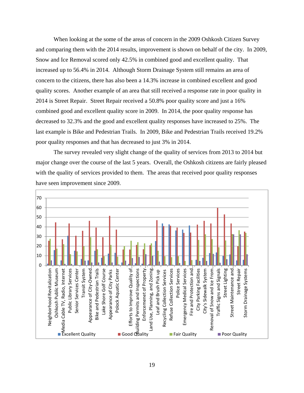When looking at the some of the areas of concern in the 2009 Oshkosh Citizen Survey and comparing them with the 2014 results, improvement is shown on behalf of the city. In 2009, Snow and Ice Removal scored only 42.5% in combined good and excellent quality. That increased up to 56.4% in 2014. Although Storm Drainage System still remains an area of concern to the citizens, there has also been a 14.3% increase in combined excellent and good quality scores. Another example of an area that still received a response rate in poor quality in 2014 is Street Repair. Street Repair received a 50.8% poor quality score and just a 16% combined good and excellent quality score in 2009. In 2014, the poor quality response has decreased to 32.3% and the good and excellent quality responses have increased to 25%. The last example is Bike and Pedestrian Trails. In 2009, Bike and Pedestrian Trails received 19.2% poor quality responses and that has decreased to just 3% in 2014.

The survey revealed very slight change of the quality of services from 2013 to 2014 but major change over the course of the last 5 years. Overall, the Oshkosh citizens are fairly pleased with the quality of services provided to them. The areas that received poor quality responses have seen improvement since 2009.

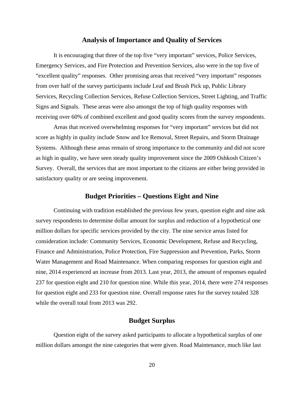#### **Analysis of Importance and Quality of Services**

It is encouraging that three of the top five "very important" services, Police Services, Emergency Services, and Fire Protection and Prevention Services, also were in the top five of "excellent quality" responses. Other promising areas that received "very important" responses from over half of the survey participants include Leaf and Brush Pick up, Public Library Services, Recycling Collection Services, Refuse Collection Services, Street Lighting, and Traffic Signs and Signals. These areas were also amongst the top of high quality responses with receiving over 60% of combined excellent and good quality scores from the survey respondents.

Areas that received overwhelming responses for "very important" services but did not score as highly in quality include Snow and Ice Removal, Street Repairs, and Storm Drainage Systems. Although these areas remain of strong importance to the community and did not score as high in quality, we have seen steady quality improvement since the 2009 Oshkosh Citizen's Survey. Overall, the services that are most important to the citizens are either being provided in satisfactory quality or are seeing improvement.

#### **Budget Priorities – Questions Eight and Nine**

 Continuing with tradition established the previous few years, question eight and nine ask survey respondents to determine dollar amount for surplus and reduction of a hypothetical one million dollars for specific services provided by the city. The nine service areas listed for consideration include: Community Services, Economic Development, Refuse and Recycling, Finance and Administration, Police Protection, Fire Suppression and Prevention, Parks, Storm Water Management and Road Maintenance. When comparing responses for question eight and nine, 2014 experienced an increase from 2013. Last year, 2013, the amount of responses equaled 237 for question eight and 210 for question nine. While this year, 2014, there were 274 responses for question eight and 233 for question nine. Overall response rates for the survey totaled 328 while the overall total from 2013 was 292.

## **Budget Surplus**

 Question eight of the survey asked participants to allocate a hypothetical surplus of one million dollars amongst the nine categories that were given. Road Maintenance, much like last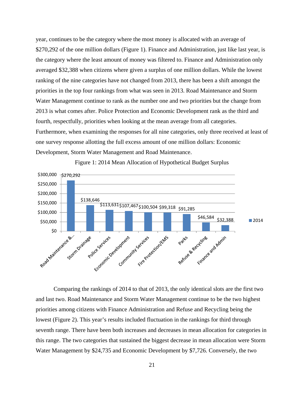year, continues to be the category where the most money is allocated with an average of \$270,292 of the one million dollars (Figure 1). Finance and Administration, just like last year, is the category where the least amount of money was filtered to. Finance and Administration only averaged \$32,388 when citizens where given a surplus of one million dollars. While the lowest ranking of the nine categories have not changed from 2013, there has been a shift amongst the priorities in the top four rankings from what was seen in 2013. Road Maintenance and Storm Water Management continue to rank as the number one and two priorities but the change from 2013 is what comes after. Police Protection and Economic Development rank as the third and fourth, respectfully, priorities when looking at the mean average from all categories. Furthermore, when examining the responses for all nine categories, only three received at least of one survey response allotting the full excess amount of one million dollars: Economic Development, Storm Water Management and Road Maintenance.



Figure 1: 2014 Mean Allocation of Hypothetical Budget Surplus

 Comparing the rankings of 2014 to that of 2013, the only identical slots are the first two and last two. Road Maintenance and Storm Water Management continue to be the two highest priorities among citizens with Finance Administration and Refuse and Recycling being the lowest (Figure 2). This year's results included fluctuation in the rankings for third through seventh range. There have been both increases and decreases in mean allocation for categories in this range. The two categories that sustained the biggest decrease in mean allocation were Storm Water Management by \$24,735 and Economic Development by \$7,726. Conversely, the two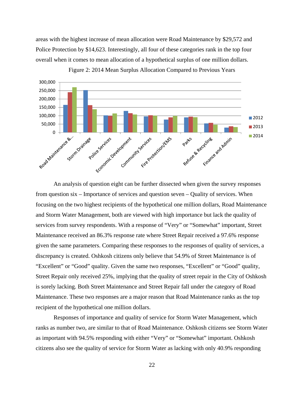areas with the highest increase of mean allocation were Road Maintenance by \$29,572 and Police Protection by \$14,623. Interestingly, all four of these categories rank in the top four overall when it comes to mean allocation of a hypothetical surplus of one million dollars.



Figure 2: 2014 Mean Surplus Allocation Compared to Previous Years

 An analysis of question eight can be further dissected when given the survey responses from question six – Importance of services and question seven – Quality of services. When focusing on the two highest recipients of the hypothetical one million dollars, Road Maintenance and Storm Water Management, both are viewed with high importance but lack the quality of services from survey respondents. With a response of "Very" or "Somewhat" important, Street Maintenance received an 86.3% response rate where Street Repair received a 97.6% response given the same parameters. Comparing these responses to the responses of quality of services, a discrepancy is created. Oshkosh citizens only believe that 54.9% of Street Maintenance is of "Excellent" or "Good" quality. Given the same two responses, "Excellent" or "Good" quality, Street Repair only received 25%, implying that the quality of street repair in the City of Oshkosh is sorely lacking. Both Street Maintenance and Street Repair fall under the category of Road Maintenance. These two responses are a major reason that Road Maintenance ranks as the top recipient of the hypothetical one million dollars.

 Responses of importance and quality of service for Storm Water Management, which ranks as number two, are similar to that of Road Maintenance. Oshkosh citizens see Storm Water as important with 94.5% responding with either "Very" or "Somewhat" important. Oshkosh citizens also see the quality of service for Storm Water as lacking with only 40.9% responding

22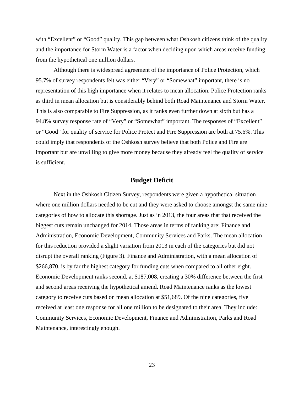with "Excellent" or "Good" quality. This gap between what Oshkosh citizens think of the quality and the importance for Storm Water is a factor when deciding upon which areas receive funding from the hypothetical one million dollars.

 Although there is widespread agreement of the importance of Police Protection, which 95.7% of survey respondents felt was either "Very" or "Somewhat" important, there is no representation of this high importance when it relates to mean allocation. Police Protection ranks as third in mean allocation but is considerably behind both Road Maintenance and Storm Water. This is also comparable to Fire Suppression, as it ranks even further down at sixth but has a 94.8% survey response rate of "Very" or "Somewhat" important. The responses of "Excellent" or "Good" for quality of service for Police Protect and Fire Suppression are both at 75.6%. This could imply that respondents of the Oshkosh survey believe that both Police and Fire are important but are unwilling to give more money because they already feel the quality of service is sufficient.

## **Budget Deficit**

 Next in the Oshkosh Citizen Survey, respondents were given a hypothetical situation where one million dollars needed to be cut and they were asked to choose amongst the same nine categories of how to allocate this shortage. Just as in 2013, the four areas that that received the biggest cuts remain unchanged for 2014. Those areas in terms of ranking are: Finance and Administration, Economic Development, Community Services and Parks. The mean allocation for this reduction provided a slight variation from 2013 in each of the categories but did not disrupt the overall ranking (Figure 3). Finance and Administration, with a mean allocation of \$266,870, is by far the highest category for funding cuts when compared to all other eight. Economic Development ranks second, at \$187,008, creating a 30% difference between the first and second areas receiving the hypothetical amend. Road Maintenance ranks as the lowest category to receive cuts based on mean allocation at \$51,689. Of the nine categories, five received at least one response for all one million to be designated to their area. They include: Community Services, Economic Development, Finance and Administration, Parks and Road Maintenance, interestingly enough.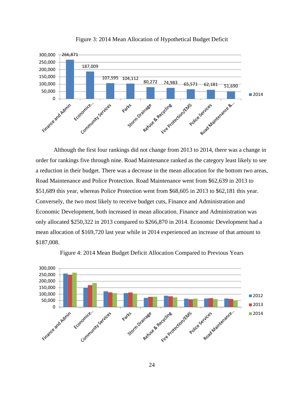

Figure 3: 2014 Mean Allocation of Hypothetical Budget Deficit

 Although the first four rankings did not change from 2013 to 2014, there was a change in order for rankings five through nine. Road Maintenance ranked as the category least likely to see a reduction in their budget. There was a decrease in the mean allocation for the bottom two areas, Road Maintenance and Police Protection. Road Maintenance went from \$62,639 in 2013 to \$51,689 this year, whereas Police Protection went from \$68,605 in 2013 to \$62,181 this year. Conversely, the two most likely to receive budget cuts, Finance and Administration and Economic Development, both increased in mean allocation. Finance and Administration was only allocated \$250,322 in 2013 compared to \$266,870 in 2014. Economic Development had a mean allocation of \$169,720 last year while in 2014 experienced an increase of that amount to \$187,008.



Figure 4: 2014 Mean Budget Deficit Allocation Compared to Previous Years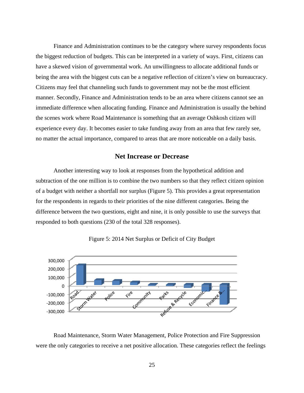Finance and Administration continues to be the category where survey respondents focus the biggest reduction of budgets. This can be interpreted in a variety of ways. First, citizens can have a skewed vision of governmental work. An unwillingness to allocate additional funds or being the area with the biggest cuts can be a negative reflection of citizen's view on bureaucracy. Citizens may feel that channeling such funds to government may not be the most efficient manner. Secondly, Finance and Administration tends to be an area where citizens cannot see an immediate difference when allocating funding. Finance and Administration is usually the behind the scenes work where Road Maintenance is something that an average Oshkosh citizen will experience every day. It becomes easier to take funding away from an area that few rarely see, no matter the actual importance, compared to areas that are more noticeable on a daily basis.

#### **Net Increase or Decrease**

 Another interesting way to look at responses from the hypothetical addition and subtraction of the one million is to combine the two numbers so that they reflect citizen opinion of a budget with neither a shortfall nor surplus (Figure 5). This provides a great representation for the respondents in regards to their priorities of the nine different categories. Being the difference between the two questions, eight and nine, it is only possible to use the surveys that responded to both questions (230 of the total 328 responses).



Figure 5: 2014 Net Surplus or Deficit of City Budget

 Road Maintenance, Storm Water Management, Police Protection and Fire Suppression were the only categories to receive a net positive allocation. These categories reflect the feelings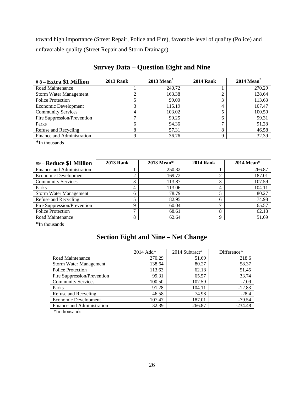toward high importance (Street Repair, Police and Fire), favorable level of quality (Police) and unfavorable quality (Street Repair and Storm Drainage).

| #8 – Extra \$1 Million        | <b>2013 Rank</b> | <b>2013 Mean</b> | <b>2014 Rank</b> | <b>2014 Mean</b> |
|-------------------------------|------------------|------------------|------------------|------------------|
| Road Maintenance              |                  | 240.72           |                  | 270.29           |
| <b>Storm Water Management</b> |                  | 163.38           |                  | 138.64           |
| <b>Police Protection</b>      |                  | 99.00            |                  | 113.63           |
| Economic Development          |                  | 115.19           | 4                | 107.47           |
| <b>Community Services</b>     | 4                | 103.02           |                  | 100.50           |
| Fire Suppression/Prevention   |                  | 90.25            |                  | 99.31            |
| Parks                         |                  | 94.36            |                  | 91.28            |
| Refuse and Recycling          |                  | 57.31            |                  | 46.58            |
| Finance and Administration    |                  | 36.76            |                  | 32.39            |

# **Survey Data – Question Eight and Nine**

**\***In thousands

| #9 – Reduce \$1 Million       | <b>2013 Rank</b> | 2013 Mean* | <b>2014 Rank</b> | $2014$ Mean* |
|-------------------------------|------------------|------------|------------------|--------------|
| Finance and Administration    |                  | 250.32     |                  | 266.87       |
| Economic Development          |                  | 169.72     |                  | 187.01       |
| <b>Community Services</b>     |                  | 113.87     |                  | 107.59       |
| Parks                         |                  | 113.06     |                  | 104.11       |
| <b>Storm Water Management</b> | 6                | 78.79      |                  | 80.27        |
| Refuse and Recycling          |                  | 82.95      |                  | 74.98        |
| Fire Suppression/Prevention   | Q                | 60.04      |                  | 65.57        |
| <b>Police Protection</b>      |                  | 68.61      |                  | 62.18        |
| Road Maintenance              |                  | 62.64      |                  | 51.69        |

**\***In thousands

# **Section Eight and Nine – Net Change**

|                               | 2014 Add* | 2014 Subtract* | Difference* |
|-------------------------------|-----------|----------------|-------------|
| Road Maintenance              | 270.29    | 51.69          | 218.6       |
| <b>Storm Water Management</b> | 138.64    | 80.27          | 58.37       |
| <b>Police Protection</b>      | 113.63    | 62.18          | 51.45       |
| Fire Suppression/Prevention   | 99.31     | 65.57          | 33.74       |
| <b>Community Services</b>     | 100.50    | 107.59         | $-7.09$     |
| Parks                         | 91.28     | 104.11         | $-12.83$    |
| Refuse and Recycling          | 46.58     | 74.98          | $-28.4$     |
| Economic Development          | 107.47    | 187.01         | $-79.54$    |
| Finance and Administration    | 32.39     | 266.87         | $-234.48$   |

\*In thousands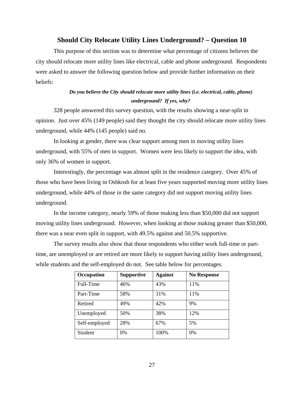#### **Should City Relocate Utility Lines Underground? – Question 10**

This purpose of this section was to determine what percentage of citizens believes the city should relocate more utility lines like electrical, cable and phone underground. Respondents were asked to answer the following question below and provide further information on their beliefs:

## *Do you believe the City should relocate more utility lines (i.e. electrical, cable, phone) underground? If yes, why?*

328 people answered this survey question, with the results showing a near-split in opinion. Just over 45% (149 people) said they thought the city should relocate more utility lines underground, while 44% (145 people) said no.

In looking at gender, there was clear support among men in moving utility lines underground, with 55% of men in support. Women were less likely to support the idea, with only 36% of women in support.

Interestingly, the percentage was almost split in the residence category. Over 45% of those who have been living in Oshkosh for at least five years supported moving more utility lines underground, while 44% of those in the same category did not support moving utility lines underground.

In the income category, nearly 59% of those making less than \$50,000 did not support moving utility lines underground. However, when looking at those making greater than \$50,000, there was a near even split in support, with 49.5% against and 50.5% supportive.

The survey results also show that those respondents who either work full-time or parttime, are unemployed or are retired are more likely to support having utility lines underground, while students and the self-employed do not. See table below for percentages.

| Occupation    | <b>Supportive</b> | <b>Against</b> | <b>No Response</b> |
|---------------|-------------------|----------------|--------------------|
| Full-Time     | 46%               | 43%            | 11%                |
| Part-Time     | 58%               | 31%            | 11%                |
| Retired       | 49%               | 42%            | 9%                 |
| Unemployed    | 50%               | 38%            | 12%                |
| Self-employed | 28%               | 67%            | 5%                 |
| Student       | 0%                | 100%           | $0\%$              |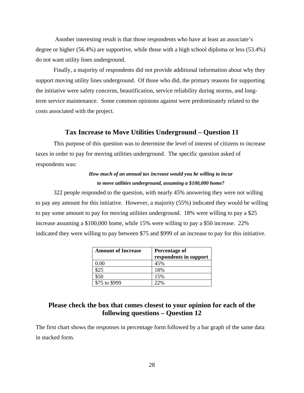Another interesting result is that those respondents who have at least an associate's degree or higher (56.4%) are supportive, while those with a high school diploma or less (53.4%) do not want utility lines underground.

Finally, a majority of respondents did not provide additional information about why they support moving utility lines underground. Of those who did, the primary reasons for supporting the initiative were safety concerns, beautification, service reliability during storms, and longterm service maintenance. Some common opinions against were predominately related to the costs associated with the project.

#### **Tax Increase to Move Utilities Underground – Question 11**

This purpose of this question was to determine the level of interest of citizens to increase taxes in order to pay for moving utilities underground. The specific question asked of respondents was:

## *How much of an annual tax increase would you be willing to incur to move utilities underground, assuming a \$100,000 home?*

322 people responded to the question, with nearly 45% answering they were not willing to pay any amount for this initiative. However, a majority (55%) indicated they would be willing to pay some amount to pay for moving utilities underground. 18% were willing to pay a \$25 increase assuming a \$100,000 home, while 15% were willing to pay a \$50 increase. 22% indicated they were willing to pay between \$75 and \$999 of an increase to pay for this initiative.

| <b>Amount of Increase</b> | Percentage of<br>respondents in support |
|---------------------------|-----------------------------------------|
| $0.00\,$                  | 45%                                     |
| \$25                      | 18%                                     |
| \$50                      | 15%                                     |
| \$75 to \$999             | 22%                                     |

## **Please check the box that comes closest to your opinion for each of the following questions – Question 12**

The first chart shows the responses in percentage form followed by a bar graph of the same data in stacked form.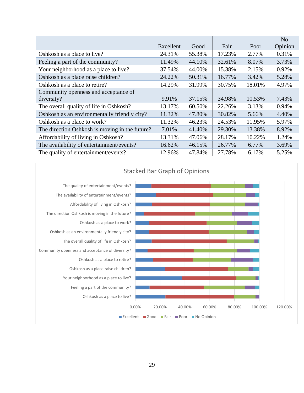|                                                |           |        |        |        | No      |
|------------------------------------------------|-----------|--------|--------|--------|---------|
|                                                | Excellent | Good   | Fair   | Poor   | Opinion |
| Oshkosh as a place to live?                    | 24.31%    | 55.38% | 17.23% | 2.77%  | 0.31%   |
| Feeling a part of the community?               | 11.49%    | 44.10% | 32.61% | 8.07%  | 3.73%   |
| Your neighborhood as a place to live?          | 37.54%    | 44.00% | 15.38% | 2.15%  | 0.92%   |
| Oshkosh as a place raise children?             | 24.22%    | 50.31% | 16.77% | 3.42%  | 5.28%   |
| Oshkosh as a place to retire?                  | 14.29%    | 31.99% | 30.75% | 18.01% | 4.97%   |
| Community openness and acceptance of           |           |        |        |        |         |
| diversity?                                     | 9.91%     | 37.15% | 34.98% | 10.53% | 7.43%   |
| The overall quality of life in Oshkosh?        | 13.17%    | 60.50% | 22.26% | 3.13%  | 0.94%   |
| Oshkosh as an environmentally friendly city?   | 11.32%    | 47.80% | 30.82% | 5.66%  | 4.40%   |
| Oshkosh as a place to work?                    | 11.32%    | 46.23% | 24.53% | 11.95% | 5.97%   |
| The direction Oshkosh is moving in the future? | 7.01%     | 41.40% | 29.30% | 13.38% | 8.92%   |
| Affordability of living in Oshkosh?            | 13.31%    | 47.06% | 28.17% | 10.22% | 1.24%   |
| The availability of entertainment/events?      | 16.62%    | 46.15% | 26.77% | 6.77%  | 3.69%   |
| The quality of entertainment/events?           | 12.96%    | 47.84% | 27.78% | 6.17%  | 5.25%   |



## Stacked Bar Graph of Opinions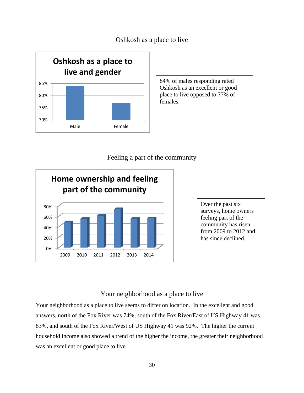Oshkosh as a place to live



84% of males responding rated Oshkosh as an excellent or good place to live opposed to 77% of females.

## Feeling a part of the community



Over the past six surveys, home owners feeling part of the community has risen from 2009 to 2012 and has since declined.

## Your neighborhood as a place to live

Your neighborhood as a place to live seems to differ on location. In the excellent and good answers, north of the Fox River was 74%, south of the Fox River/East of US Highway 41 was 83%, and south of the Fox River/West of US Highway 41 was 92%. The higher the current household income also showed a trend of the higher the income, the greater their neighborhood was an excellent or good place to live.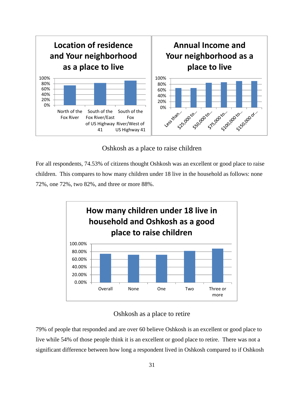

Oshkosh as a place to raise children

For all respondents, 74.53% of citizens thought Oshkosh was an excellent or good place to raise children. This compares to how many children under 18 live in the household as follows: none 72%, one 72%, two 82%, and three or more 88%.



## Oshkosh as a place to retire

79% of people that responded and are over 60 believe Oshkosh is an excellent or good place to live while 54% of those people think it is an excellent or good place to retire. There was not a significant difference between how long a respondent lived in Oshkosh compared to if Oshkosh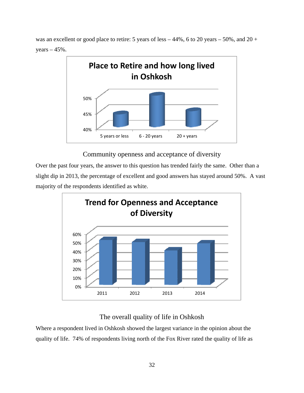was an excellent or good place to retire: 5 years of less  $-44\%$ , 6 to 20 years  $-50\%$ , and 20 + years  $-45%$ .



Community openness and acceptance of diversity

Over the past four years, the answer to this question has trended fairly the same. Other than a slight dip in 2013, the percentage of excellent and good answers has stayed around 50%. A vast majority of the respondents identified as white.



# The overall quality of life in Oshkosh

Where a respondent lived in Oshkosh showed the largest variance in the opinion about the quality of life. 74% of respondents living north of the Fox River rated the quality of life as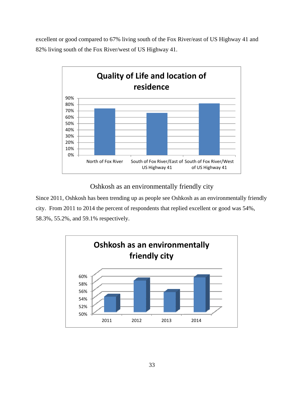excellent or good compared to 67% living south of the Fox River/east of US Highway 41 and 82% living south of the Fox River/west of US Highway 41.



Oshkosh as an environmentally friendly city

Since 2011, Oshkosh has been trending up as people see Oshkosh as an environmentally friendly city. From 2011 to 2014 the percent of respondents that replied excellent or good was 54%, 58.3%, 55.2%, and 59.1% respectively.

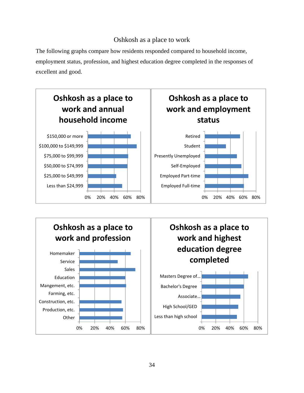## Oshkosh as a place to work

The following graphs compare how residents responded compared to household income, employment status, profession, and highest education degree completed in the responses of excellent and good.



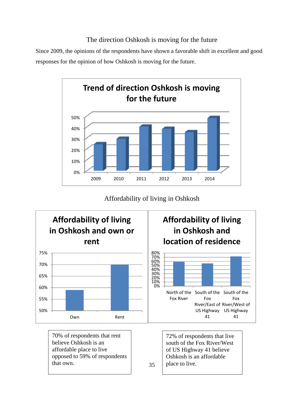## The direction Oshkosh is moving for the future

Since 2009, the opinions of the respondents have shown a favorable shift in excellent and good responses for the opinion of how Oshkosh is moving for the future.



Affordability of living in Oshkosh



70% of respondents that rent believe Oshkosh is an affordable place to live opposed to 59% of respondents that own.

72% of respondents that live south of the Fox River/West of US Highway 41 believe Oshkosh is an affordable place to live.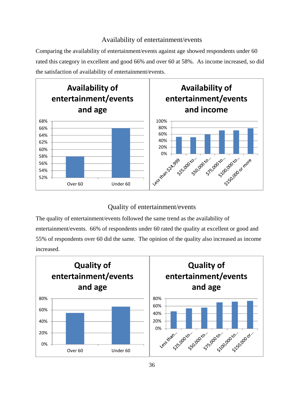## Availability of entertainment/events

Comparing the availability of entertainment/events against age showed respondents under 60 rated this category in excellent and good 66% and over 60 at 58%. As income increased, so did the satisfaction of availability of entertainment/events.



## Quality of entertainment/events

The quality of entertainment/events followed the same trend as the availability of entertainment/events. 66% of respondents under 60 rated the quality at excellent or good and 55% of respondents over 60 did the same. The opinion of the quality also increased as income increased.

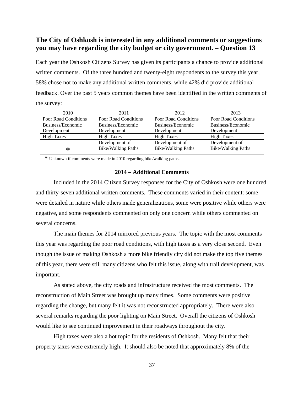## **The City of Oshkosh is interested in any additional comments or suggestions you may have regarding the city budget or city government. – Question 13**

Each year the Oshkosh Citizens Survey has given its participants a chance to provide additional written comments. Of the three hundred and twenty-eight respondents to the survey this year, 58% chose not to make any additional written comments, while 42% did provide additional feedback. Over the past 5 years common themes have been identified in the written comments of the survey:

| 2010                        | 2011                      | 2012                      | 2013                        |
|-----------------------------|---------------------------|---------------------------|-----------------------------|
| <b>Poor Road Conditions</b> | Poor Road Conditions      | Poor Road Conditions      | <b>Poor Road Conditions</b> |
| Business/Economic           | Business/Economic         | Business/Economic         | Business/Economic           |
| Development                 | Development               | Development               | Development                 |
| <b>High Taxes</b>           | <b>High Taxes</b>         | <b>High Taxes</b>         | <b>High Taxes</b>           |
|                             | Development of            | Development of            | Development of              |
| ∗                           | <b>Bike/Walking Paths</b> | <b>Bike/Walking Paths</b> | <b>Bike/Walking Paths</b>   |

 **\*** Unknown if comments were made in 2010 regarding bike/walking paths.

#### **2014 – Additional Comments**

Included in the 2014 Citizen Survey responses for the City of Oshkosh were one hundred and thirty-seven additional written comments. These comments varied in their content: some were detailed in nature while others made generalizations, some were positive while others were negative, and some respondents commented on only one concern while others commented on several concerns.

The main themes for 2014 mirrored previous years. The topic with the most comments this year was regarding the poor road conditions, with high taxes as a very close second. Even though the issue of making Oshkosh a more bike friendly city did not make the top five themes of this year, there were still many citizens who felt this issue, along with trail development, was important.

As stated above, the city roads and infrastructure received the most comments. The reconstruction of Main Street was brought up many times. Some comments were positive regarding the change, but many felt it was not reconstructed appropriately. There were also several remarks regarding the poor lighting on Main Street. Overall the citizens of Oshkosh would like to see continued improvement in their roadways throughout the city.

High taxes were also a hot topic for the residents of Oshkosh. Many felt that their property taxes were extremely high. It should also be noted that approximately 8% of the

37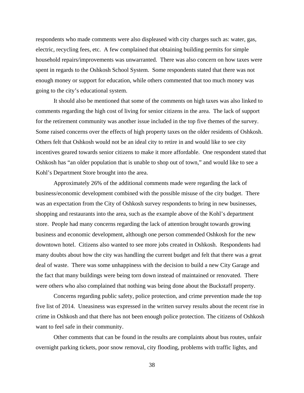respondents who made comments were also displeased with city charges such as: water, gas, electric, recycling fees, etc. A few complained that obtaining building permits for simple household repairs/improvements was unwarranted. There was also concern on how taxes were spent in regards to the Oshkosh School System. Some respondents stated that there was not enough money or support for education, while others commented that too much money was going to the city's educational system.

It should also be mentioned that some of the comments on high taxes was also linked to comments regarding the high cost of living for senior citizens in the area. The lack of support for the retirement community was another issue included in the top five themes of the survey. Some raised concerns over the effects of high property taxes on the older residents of Oshkosh. Others felt that Oshkosh would not be an ideal city to retire in and would like to see city incentives geared towards senior citizens to make it more affordable. One respondent stated that Oshkosh has "an older population that is unable to shop out of town," and would like to see a Kohl's Department Store brought into the area.

Approximately 26% of the additional comments made were regarding the lack of business/economic development combined with the possible misuse of the city budget. There was an expectation from the City of Oshkosh survey respondents to bring in new businesses, shopping and restaurants into the area, such as the example above of the Kohl's department store. People had many concerns regarding the lack of attention brought towards growing business and economic development, although one person commended Oshkosh for the new downtown hotel. Citizens also wanted to see more jobs created in Oshkosh. Respondents had many doubts about how the city was handling the current budget and felt that there was a great deal of waste. There was some unhappiness with the decision to build a new City Garage and the fact that many buildings were being torn down instead of maintained or renovated. There were others who also complained that nothing was being done about the Buckstaff property.

Concerns regarding public safety, police protection, and crime prevention made the top five list of 2014. Uneasiness was expressed in the written survey results about the recent rise in crime in Oshkosh and that there has not been enough police protection. The citizens of Oshkosh want to feel safe in their community.

Other comments that can be found in the results are complaints about bus routes, unfair overnight parking tickets, poor snow removal, city flooding, problems with traffic lights, and

38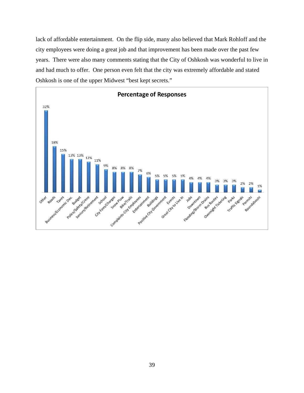lack of affordable entertainment. On the flip side, many also believed that Mark Rohloff and the city employees were doing a great job and that improvement has been made over the past few years. There were also many comments stating that the City of Oshkosh was wonderful to live in and had much to offer. One person even felt that the city was extremely affordable and stated Oshkosh is one of the upper Midwest "best kept secrets."

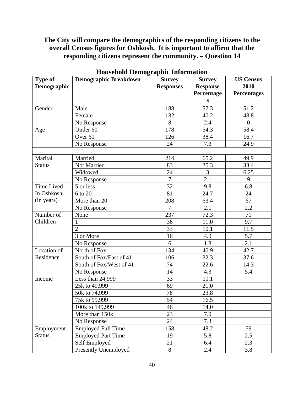## **The City will compare the demographics of the responding citizens to the overall Census figures for Oshkosh. It is important to affirm that the responding citizens represent the community. – Question 14**

| Type of           | <b>Demographic Breakdown</b> | <b>Survey</b>    | <b>Survey</b>   | <b>US Census</b>   |
|-------------------|------------------------------|------------------|-----------------|--------------------|
| Demographic       |                              | <b>Responses</b> | <b>Response</b> | 2010               |
|                   |                              |                  | Percentage      | <b>Percentages</b> |
|                   |                              |                  | S               |                    |
| Gender            | Male                         | 188              | 57.3            | 51.2               |
|                   | Female                       | 132              | 40.2            | 48.8               |
|                   | No Response                  | 8                | 2.4             | $\overline{0}$     |
| Age               | Under 60                     | 178              | 54.3            | 58.4               |
|                   | Over <sub>60</sub>           | 126              | 38.4            | 16.7               |
|                   | No Response                  | 24               | 7.3             | 24.9               |
|                   |                              |                  |                 |                    |
| Marital           | Married                      | 214              | 65.2            | 49.9               |
| <b>Status</b>     | Not Married                  | 83               | 25.3            | 33.4               |
|                   | Widowed                      | 24               | 3               | 6.25               |
|                   | No Response                  | 7                | 2.1             | 9                  |
| <b>Time Lived</b> | 5 or less                    | 32               | 9.8             | 6.8                |
| In Oshkosh        | 6 to 20                      | 81               | 24.7            | 24                 |
| (in years)        | More than 20                 | 208              | 63.4            | 67                 |
|                   | No Response                  | $\overline{7}$   | 2.1             | 2.2                |
| Number of         | None                         | 237              | 72.3            | 71                 |
| Children          | 1                            | 36               | 11.0            | 9.7                |
|                   | $\overline{2}$               | 33               | 10.1            | 11.5               |
|                   | 3 or More                    | 16               | 4.9             | 5.7                |
|                   | No Response                  | 6                | 1.8             | 2.1                |
| Location of       | North of Fox                 | 134              | 40.9            | 42.7               |
| Residence         | South of Fox/East of 41      | 106              | 32.3            | 37.6               |
|                   | South of Fox/West of 41      | 74               | 22.6            | 14.3               |
|                   | No Response                  | 14               | 4.3             | 5.4                |
| Income            | Less than 24,999             | 33               | 10.1            |                    |
|                   | 25k to 49,999                | 69               | 21.0            |                    |
|                   | 50k to 74,999                | 78               | 23.8            |                    |
|                   | 75k to 99,999                | 54               | 16.5            |                    |
|                   | 100k to 149,999              | 46               | 14.0            |                    |
|                   | More than 150k               | 23               | 7.0             |                    |
|                   | No Response                  | 24               | 7.3             |                    |
| Employment        | <b>Employed Full Time</b>    | 158              | 48.2            | 59                 |
| <b>Status</b>     | <b>Employed Part Time</b>    | 19               | 5.8             | 2.5                |
|                   | Self Employed                | 21               | 6.4             | 2.3                |
|                   | Presently Unemployed         | 8                | 2.4             | 3.8                |

## **Household Demographic Information**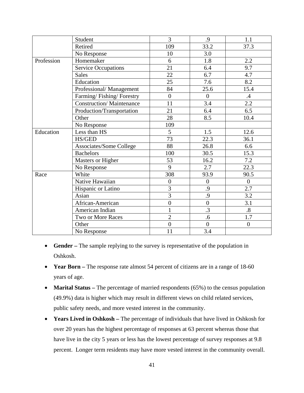|            | Student                        | 3                | .9             | 1.1              |
|------------|--------------------------------|------------------|----------------|------------------|
|            | Retired                        | 109              | 33.2           | 37.3             |
|            | No Response                    | 10               | 3.0            |                  |
| Profession | Homemaker                      | 6                | 1.8            | 2.2              |
|            | <b>Service Occupations</b>     | 21               | 6.4            | 9.7              |
|            | <b>Sales</b>                   | 22               | 6.7            | 4.7              |
|            | Education                      | 25               | 7.6            | 8.2              |
|            | Professional/Management        | 84               | 25.6           | 15.4             |
|            | Farming/Fishing/Forestry       | $\overline{0}$   | $\overline{0}$ | $\mathcal{A}$    |
|            | Construction/Maintenance       | 11               | 3.4            | 2.2              |
|            | Production/Transportation      | 21               | 6.4            | 6.5              |
|            | Other                          | 28               | 8.5            | 10.4             |
|            | No Response                    | 109              |                |                  |
| Education  | Less than HS                   | 5                | 1.5            | 12.6             |
|            | <b>HS/GED</b>                  | 73               | 22.3           | 36.1             |
|            | <b>Associates/Some College</b> | 88               | 26.8           | 6.6              |
|            | <b>Bachelors</b>               | 100              | 30.5           | 15.3             |
|            | <b>Masters or Higher</b>       | 53               | 16.2           | 7.2              |
|            | No Response                    | 9                | 2.7            | 22.3             |
| Race       | White                          | 308              | 93.9           | 90.5             |
|            | Native Hawaiian                | $\boldsymbol{0}$ | $\overline{0}$ | $\overline{0}$   |
|            | Hispanic or Latino             | 3                | .9             | 2.7              |
|            | Asian                          | 3                | .9             | 3.2              |
|            | African-American               | $\overline{0}$   | $\overline{0}$ | 3.1              |
|            | American Indian                | $\mathbf{1}$     | $\cdot$ 3      | .8               |
|            | Two or More Races              | $\overline{2}$   | .6             | 1.7              |
|            | Other                          | $\overline{0}$   | $\overline{0}$ | $\boldsymbol{0}$ |
|            | No Response                    | 11               | 3.4            |                  |

- **Gender** The sample replying to the survey is representative of the population in Oshkosh.
- **Year Born** The response rate almost 54 percent of citizens are in a range of 18-60 years of age.
- **Marital Status** The percentage of married respondents (65%) to the census population (49.9%) data is higher which may result in different views on child related services, public safety needs, and more vested interest in the community.
- **Years Lived in Oshkosh** The percentage of individuals that have lived in Oshkosh for over 20 years has the highest percentage of responses at 63 percent whereas those that have live in the city 5 years or less has the lowest percentage of survey responses at 9.8 percent. Longer term residents may have more vested interest in the community overall.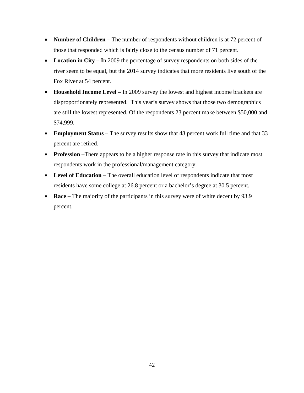- **Number of Children** The number of respondents without children is at 72 percent of those that responded which is fairly close to the census number of 71 percent.
- Location in City In 2009 the percentage of survey respondents on both sides of the river seem to be equal, but the 2014 survey indicates that more residents live south of the Fox River at 54 percent.
- **Household Income Level** In 2009 survey the lowest and highest income brackets are disproportionately represented. This year's survey shows that those two demographics are still the lowest represented. Of the respondents 23 percent make between \$50,000 and \$74,999.
- **Employment Status** The survey results show that 48 percent work full time and that 33 percent are retired.
- **Profession** –There appears to be a higher response rate in this survey that indicate most respondents work in the professional/management category.
- Level of Education The overall education level of respondents indicate that most residents have some college at 26.8 percent or a bachelor's degree at 30.5 percent.
- **Race** The majority of the participants in this survey were of white decent by 93.9 percent.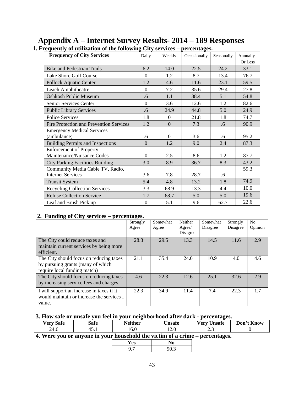| <b>Frequency of City Services</b>       | Daily            | Weekly       | Occasionally | Seasonally | Annually |
|-----------------------------------------|------------------|--------------|--------------|------------|----------|
|                                         |                  |              |              |            | Or Less  |
| <b>Bike and Pedestrian Trails</b>       | 6.2              | 14.0         | 22.5         | 24.2       | 33.1     |
| Lake Shore Golf Course                  | $\Omega$         | 1.2          | 8.7          | 13.4       | 76.7     |
| <b>Pollock Aquatic Center</b>           | 1.2              | 4.6          | 11.6         | 23.1       | 59.5     |
| Leach Amphitheatre                      | $\Omega$         | 7.2          | 35.6         | 29.4       | 27.8     |
| <b>Oshkosh Public Museum</b>            | .6               | 1.1          | 38.4         | 5.1        | 54.8     |
| Senior Services Center                  | $\Omega$         | 3.6          | 12.6         | 1.2        | 82.6     |
| <b>Public Library Services</b>          | .6               | 24.9         | 44.8         | 5.0        | 24.9     |
| <b>Police Services</b>                  | 1.8              | $\mathbf{0}$ | 21.8         | 1.8        | 74.7     |
| Fire Protection and Prevention Services | 1.2              | $\mathbf{0}$ | 7.3          | .6         | 90.9     |
| <b>Emergency Medical Services</b>       |                  |              |              |            |          |
| (ambulance)                             | .6               | $\theta$     | 3.6          | .6         | 95.2     |
| <b>Building Permits and Inspections</b> | $\boldsymbol{0}$ | 1.2          | 9.0          | 2.4        | 87.3     |
| <b>Enforcement of Property</b>          |                  |              |              |            |          |
| Maintenance/Nuisance Codes              | $\Omega$         | 2.5          | 8.6          | 1.2        | 87.7     |
| <b>City Parking Facilities Building</b> | 3.0              | 8.9          | 36.7         | 8.3        | 43.2     |
| Community Media Cable TV, Radio,        |                  |              |              |            | 59.3     |
| <b>Internet Services</b>                | 3.6              | 7.8          | 28.7         | .6         |          |
| <b>Transit System</b>                   | 5.4              | 4.8          | 13.2         | 1.8        | 74.9     |
| <b>Recycling Collection Services</b>    | 3.3              | 68.9         | 13.3         | 4.4        | 10.0     |
| <b>Refuse Collection Service</b>        | 1.7              | 68.7         | 5.0          | 5.0        | 19.6     |
| Leaf and Brush Pick up                  | $\boldsymbol{0}$ | 5.1          | 9.6          | 62.7       | 22.6     |

## **Appendix A – Internet Survey Results- 2014 – 189 Responses 1. Frequently of utilization of the following City services – percentages.**

#### **2. Funding of City services – percentages.**

| 0                                         | o<br>Strongly | Somewhat | Neither  | Somewhat | Strongly | No            |
|-------------------------------------------|---------------|----------|----------|----------|----------|---------------|
|                                           | Agree         | Agree    | Agree/   | Disagree | Disagree | Opinion       |
|                                           |               |          | Disagree |          |          |               |
| The City could reduce taxes and           | 28.3          | 29.5     | 13.3     | 14.5     | 11.6     | 2.9           |
| maintain current services by being more   |               |          |          |          |          |               |
| efficient.                                |               |          |          |          |          |               |
| The City should focus on reducing taxes   | 21.1          | 35.4     | 24.0     | 10.9     | 4.0      | $4.6^{\circ}$ |
| by pursuing grants (many of which         |               |          |          |          |          |               |
| require local funding match)              |               |          |          |          |          |               |
| The City should focus on reducing taxes   | 4.6           | 22.3     | 12.6     | 25.1     | 32.6     | 2.9           |
| by increasing service fees and charges.   |               |          |          |          |          |               |
| I will support an increase in taxes if it | 22.3          | 34.9     | 11.4     | 7.4      | 22.3     | 1.7           |
| would maintain or increase the services I |               |          |          |          |          |               |
| value.                                    |               |          |          |          |          |               |

## **3. How safe or unsafe you feel in your neighborhood after dark - percentages.**

| $\overline{\phantom{a}}$<br><b>Very Safe</b> | œ<br>safe   | <b>Neither</b> | ∪nsafe | $ -$<br>$ -$<br>∪nsate<br>verv | $\mathbf{r}$<br>∽<br>Don<br><b>Know</b> |
|----------------------------------------------|-------------|----------------|--------|--------------------------------|-----------------------------------------|
| 24.6                                         | -<br>TJ . 1 | 10.U           | 12.0   | ر. د                           |                                         |

#### **4. Were you or anyone in your household the victim of a crime – percentages.**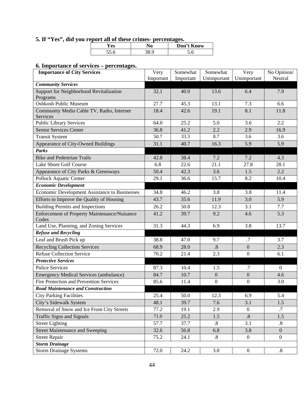## **5. If "Yes", did you report all of these crimes- percentages.**

| ΛС<br>cэ              | Know<br>Don't |
|-----------------------|---------------|
| $\tilde{\phantom{a}}$ |               |

## **6. Importance of services – percentages.**

| <b>Importance of City Services</b>                   | Very      | Somewhat  | Somewhat          | Very             | No Opinion/       |
|------------------------------------------------------|-----------|-----------|-------------------|------------------|-------------------|
|                                                      | Important | Important | Unimportant       | Unimportant      | Neutral           |
| <b>Community Services</b>                            |           |           |                   |                  |                   |
| Support for Neighborhood Revitalization<br>Programs  | 32.1      | 40.0      | 13.6              | 6.4              | 7.9               |
| <b>Oshkosh Public Museum</b>                         | 27.7      | 45.3      | 13.1              | 7.3              | 6.6               |
| Community Media Cable TV, Radio, Internet            | 18.4      | 42.6      | 19.1              | 8.1              | 11.8              |
| Services                                             |           |           |                   |                  |                   |
| <b>Public Library Services</b>                       | 64.0      | 25.2      | 5.0               | 3.6              | 2.2               |
| <b>Senior Services Center</b>                        | 36.8      | 41.2      | 2.2               | 2.9              | 16.9              |
| <b>Transit System</b>                                | 50.7      | 33.3      | 8.7               | 3.6              | 3.6               |
| Appearance of City-Owned Buildings                   | 31.1      | 40.7      | 16.3              | 5.9              | 5.9               |
| <b>Parks</b>                                         |           |           |                   |                  |                   |
| <b>Bike and Pedestrian Trails</b>                    | 42.8      | 38.4      | 7.2               | 7.2              | 4.3               |
| Lake Shore Golf Course                               | 6.8       | 22.6      | 21.1              | 27.8             | 28.1              |
| Appearance of City Parks & Greenways                 | 50.4      | 42.3      | 3.6               | 1.5              | 2.2               |
| <b>Pollock Aquatic Center</b>                        | 29.1      | 36.6      | 15.7              | 8.2              | 10.4              |
| <b>Economic Development</b>                          |           |           |                   |                  |                   |
| <b>Economic Development Assistance to Businesses</b> | 34.8      | 46.2      | 3.8               | 3.8              | 11.4              |
| Efforts to Improve the Quality of Housing            | 43.7      | 35.6      | 11.9              | 3.0              | 5.9               |
| <b>Building Permits and Inspections</b>              | 26.2      | 50.8      | 12.3              | 3.1              | 7.7               |
| <b>Enforcement of Property Maintenance/Nuisance</b>  | 41.2      | 39.7      | 9.2               | 4.6              | 5.3               |
| Codes                                                |           |           |                   |                  |                   |
| Land Use, Planning, and Zoning Services              | 31.3      | 44.3      | 6.9               | 3.8              | 13.7              |
| <b>Refuse and Recycling</b>                          |           |           |                   |                  |                   |
| Leaf and Brush Pick up                               | 38.8      | 47.0      | 9.7               | .7               | 3.7               |
| <b>Recycling Collection Services</b>                 | 68.9      | 28.0      | $\cdot$ 8         | $\overline{0}$   | 2.3               |
| <b>Refuse Collection Service</b>                     | 70.2      | 21.4      | 2.3               | $\boldsymbol{0}$ | 6.1               |
| <b>Protective Services</b>                           |           |           |                   |                  |                   |
| <b>Police Services</b>                               | 87.3      | 10.4      | 1.5               | .7               | $\mathbf{0}$      |
| <b>Emergency Medical Services (ambulance)</b>        | 84.7      | 10.7      | $\boldsymbol{0}$  | $\overline{0}$   | 4.6               |
| <b>Fire Protection and Prevention Services</b>       | 85.6      | 11.4      | $\boldsymbol{0}$  | $\boldsymbol{0}$ | 3.0               |
| <b>Road Maintenance and Construction</b>             |           |           |                   |                  |                   |
| <b>City Parking Facilities</b>                       | 25.4      | 50.0      | 12.3              | 6.9              | 5.4               |
| City's Sidewalk System                               | 48.1      | 39.7      | 7.6               | 3.1              | 1.5               |
| Removal of Snow and Ice From City Streets            | 77.2      | 19.1      | 2.9               | $\boldsymbol{0}$ | .7                |
| <b>Traffic Signs and Signals</b>                     | $71.0\,$  | 25.2      | 1.5               | $.8\,$           | 1.5               |
| <b>Street Lighting</b>                               | 57.7      | 37.7      | $\boldsymbol{.8}$ | 3.1              | $\boldsymbol{.8}$ |
| <b>Street Maintenance and Sweeping</b>               | 32.6      | 56.8      | 6.8               | 3.8              | $\overline{0}$    |
| <b>Street Repair</b>                                 | 75.2      | 24.1      | $\boldsymbol{.8}$ | $\overline{0}$   | $\boldsymbol{0}$  |
| <b>Storm Drainage</b>                                |           |           |                   |                  |                   |
| <b>Storm Drainage Systems</b>                        | 72.0      | 24.2      | 3.0               | $\boldsymbol{0}$ | $\boldsymbol{.8}$ |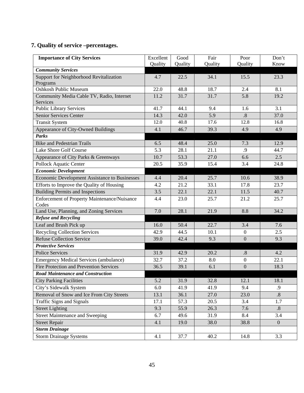# **7. Quality of service –percentages.**

| <b>Importance of City Services</b>                    | Excellent | Good    | Fair    | Poor             | Don't             |
|-------------------------------------------------------|-----------|---------|---------|------------------|-------------------|
|                                                       | Quality   | Quality | Quality | Quality          | Know              |
| <b>Community Services</b>                             |           |         |         |                  |                   |
| Support for Neighborhood Revitalization               | 4.7       | 22.5    | 34.1    | 15.5             | 23.3              |
| Programs                                              |           |         |         |                  |                   |
| <b>Oshkosh Public Museum</b>                          | 22.0      | 48.8    | 18.7    | 2.4              | 8.1               |
| Community Media Cable TV, Radio, Internet<br>Services | 11.2      | 31.7    | 31.7    | 5.8              | 19.2              |
| <b>Public Library Services</b>                        | 41.7      | 44.1    | 9.4     | 1.6              | 3.1               |
| Senior Services Center                                | 14.3      | 42.0    | 5.9     | .8               | 37.0              |
| <b>Transit System</b>                                 | 12.0      | 40.8    | 17.6    | 12.8             | 16.8              |
| Appearance of City-Owned Buildings                    | 4.1       | 46.7    | 39.3    | 4.9              | 4.9               |
| <b>Parks</b>                                          |           |         |         |                  |                   |
| <b>Bike and Pedestrian Trails</b>                     | 6.5       | 48.4    | 25.0    | 7.3              | 12.9              |
| Lake Shore Golf Course                                | 5.3       | 28.1    | 21.1    | .9               | 44.7              |
| Appearance of City Parks & Greenways                  | 10.7      | 53.3    | 27.0    | 6.6              | 2.5               |
| Pollock Aquatic Center                                | 20.5      | 35.9    | 15.4    | 3.4              | 24.8              |
| <b>Economic Development</b>                           |           |         |         |                  |                   |
| Economic Development Assistance to Businesses         | 4.4       | 20.4    | 25.7    | 10.6             | 38.9              |
| Efforts to Improve the Quality of Housing             | 4.2       | 21.2    | 33.1    | 17.8             | 23.7              |
| <b>Building Permits and Inspections</b>               | 3.5       | 22.1    | 22.1    | 11.5             | 40.7              |
| Enforcement of Property Maintenance/Nuisance<br>Codes | 4.4       | 23.0    | 25.7    | 21.2             | 25.7              |
| Land Use, Planning, and Zoning Services               | 7.0       | 28.1    | 21.9    | 8.8              | 34.2              |
| <b>Refuse and Recycling</b>                           |           |         |         |                  |                   |
| Leaf and Brush Pick up                                | 16.0      | 50.4    | 22.7    | 3.4              | 7.6               |
| <b>Recycling Collection Services</b>                  | 42.9      | 44.5    | 10.1    | $\overline{0}$   | 2.5               |
| <b>Refuse Collection Service</b>                      | 39.0      | 42.4    | 9.3     | $\mathbf{0}$     | 9.3               |
| <b>Protective Services</b>                            |           |         |         |                  |                   |
| <b>Police Services</b>                                | 31.9      | 42.9    | 20.2    | .8               | 4.2               |
| <b>Emergency Medical Services (ambulance)</b>         | 32.7      | 37.2    | 8.0     | $\boldsymbol{0}$ | 22.1              |
| Fire Protection and Prevention Services               | 36.5      | 39.1    | 6.1     | $\boldsymbol{0}$ | 18.3              |
| <b>Road Maintenance and Construction</b>              |           |         |         |                  |                   |
| <b>City Parking Facilities</b>                        | 5.2       | 31.9    | 32.8    | 12.1             | 18.1              |
| City's Sidewalk System                                | 6.0       | 41.9    | 41.9    | 9.4              | .9                |
| Removal of Snow and Ice From City Streets             | 13.1      | 36.1    | 27.0    | 23.0             | $\boldsymbol{.8}$ |
| <b>Traffic Signs and Signals</b>                      | 17.1      | 57.3    | 20.5    | 3.4              | 1.7               |
| <b>Street Lighting</b>                                | 9.3       | 55.9    | 26.3    | 7.6              | $\boldsymbol{.8}$ |
| <b>Street Maintenance and Sweeping</b>                | 6.7       | 49.6    | 31.9    | 8.4              | 3.4               |
| <b>Street Repair</b>                                  | 4.1       | 19.0    | 38.0    | 38.8             | $\mathbf{0}$      |
| <b>Storm Drainage</b>                                 |           |         |         |                  |                   |
| <b>Storm Drainage Systems</b>                         | 4.1       | 37.7    | 40.2    | 14.8             | 3.3               |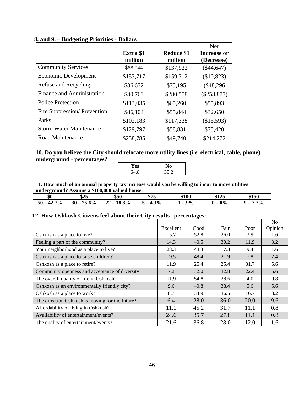|                                   |                      |                              | <b>Net</b>                       |
|-----------------------------------|----------------------|------------------------------|----------------------------------|
|                                   | Extra \$1<br>million | <b>Reduce \$1</b><br>million | <b>Increase or</b><br>(Decrease) |
| <b>Community Services</b>         | \$88,944             | \$137,922                    | $(\$44,647)$                     |
| Economic Development              | \$153,717            | \$159,312                    | (\$10,823)                       |
| Refuse and Recycling              | \$36,672             | \$75,195                     | $(\$48,296$                      |
| <b>Finance and Administration</b> | \$30,763             | \$280,558                    | $(\$258,877)$                    |
| <b>Police Protection</b>          | \$113,035            | \$65,260                     | \$55,893                         |
| Fire Suppression/Prevention       | \$86,104             | \$55,844                     | \$32,650                         |
| Parks                             | \$102,183            | \$117,338                    | (\$15,593)                       |
| <b>Storm Water Maintenance</b>    | \$129,797            | \$58,831                     | \$75,420                         |
| Road Maintenance                  | \$258,785            | \$49,740                     | \$214,272                        |

#### **8. and 9. – Budgeting Priorities - Dollars**

**10. Do you believe the City should relocate more utility lines (i.e. electrical, cable, phone) underground - percentages?** 

| t es      |       |
|-----------|-------|
| Q<br>J4.O | 35 D. |

**11. How much of an annual property tax increase would you be willing to incur to move utilities underground? Assume a \$100,000 valued house.** 

| \$0               | \$25              | \$50                  | \$75                      | \$100 | \$125        | \$150      |
|-------------------|-------------------|-----------------------|---------------------------|-------|--------------|------------|
| 7%<br>$50 -$<br>٠ | 25.6%<br>$30 - 3$ | 18.8%<br>n n<br>$44-$ | 3%<br>$\blacksquare$<br>ັ | 9%    | 0%<br>$\sim$ | $7\%$<br>- |

#### **12. How Oshkosh Citizens feel about their City results –percentages:**

|                                                 |           |      |      |      | N <sub>0</sub> |
|-------------------------------------------------|-----------|------|------|------|----------------|
|                                                 | Excellent | Good | Fair | Poor | Opinion        |
| Oshkosh as a place to live?                     | 15.7      | 52.8 | 26.0 | 3.9  | 1.6            |
| Feeling a part of the community?                | 14.3      | 40.5 | 30.2 | 11.9 | 3.2            |
| Your neighborhood as a place to live?           | 28.3      | 43.3 | 17.3 | 9.4  | 1.6            |
| Oshkosh as a place to raise children?           | 19.5      | 48.4 | 21.9 | 7.8  | 2.4            |
| Oshkosh as a place to retire?                   | 11.9      | 25.4 | 25.4 | 31.7 | 5.6            |
| Community openness and acceptance of diversity? | 7.2       | 32.0 | 32.8 | 22.4 | 5.6            |
| The overall quality of life in Oshkosh?         | 11.9      | 54.8 | 28.6 | 4.0  | 0.8            |
| Oshkosh as an environmentally friendly city?    | 9.6       | 40.8 | 38.4 | 5.6  | 5.6            |
| Oshkosh as a place to work?                     | 8.7       | 34.9 | 36.5 | 16.7 | 3.2            |
| The direction Oshkosh is moving for the future? | 6.4       | 28.0 | 36.0 | 20.0 | 9.6            |
| Affordability of living in Oshkosh?             | 11.1      | 45.2 | 31.7 | 11.1 | 0.8            |
| Availability of entertainment/events?           | 24.6      | 35.7 | 27.8 | 11.1 | 0.8            |
| The quality of entertainment/events?            | 21.6      | 36.8 | 28.0 | 12.0 | 1.6            |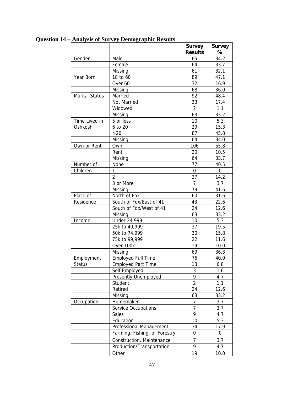|                       |                               | <b>Survey</b>  | <b>Survey</b> |
|-----------------------|-------------------------------|----------------|---------------|
|                       |                               | <b>Results</b> | ℅             |
| Gender                | Male                          | 65             | 34.2          |
|                       | Female                        | 64             | 33.7          |
|                       | Missing                       | 61             | 32.1          |
| Year Born             | 18 to 60                      | 89             | 47.1          |
|                       | Over 60                       | 32             | 16.9          |
|                       | Missing                       | 68             | 36.0          |
| <b>Marital Status</b> | Married                       | 92             | 48.4          |
|                       | Not Married                   | 33             | 17.4          |
|                       | Widowed                       | $\overline{2}$ | 1.1           |
|                       | Missing                       | 63             | 33.2          |
| Time Lived in         | 5 or less                     | 10             | 5.3           |
| Oshkosh               | 6 to 20                       | 29             | 15.3          |
|                       | >20                           | 87             | 45.8          |
|                       | Missing                       | 64             | 34.0          |
| Own or Rent           | Own                           | 106            | 55.8          |
|                       | Rent                          | 20             | 10.5          |
|                       | Missing                       | 64             | 33.7          |
| Number of             | None                          | 77             | 40.5          |
| Children              | 1                             | $\overline{0}$ | $\mathbf 0$   |
|                       | 2                             | 27             | 14.2          |
|                       | 3 or More                     | $\overline{7}$ | 3.7           |
|                       | Missing                       | 79             | 41.6          |
| Place of              | North of Fox                  | 60             | 31.6          |
| Residence             | South of Fox/East of 41       | 43             | 22.6          |
|                       | South of Fox/West of 41       | 24             | 12.6          |
|                       | Missing                       | 63             | 33.2          |
| Income                | Under 24,999                  | 10             | 5.3           |
|                       | 25k to 49,999                 | 37             | 19.5          |
|                       | 50k to 74,999                 | 30             | 15.8          |
|                       | 75k to 99,999                 | 22             | 11.6          |
|                       | Over 100k                     | 19             | 10.0          |
|                       | Missing                       | 69             | 36.3          |
| Employment            | <b>Employed Full Time</b>     | 76             | 40.0          |
| Status                | <b>Employed Part Time</b>     | 13             | 6.8           |
|                       | Self Employed                 | 3              | 1.6           |
|                       | Presently Unemployed          | 9              | 4.7           |
|                       | Student                       | $\overline{2}$ | 1.1           |
|                       | Retired                       | 24             | 12.6          |
|                       | Missing                       | 63             | 33.2          |
| Occupation            | Homemaker                     | 7              | 3.7           |
|                       | <b>Service Occupations</b>    | $\overline{7}$ | 3.7           |
|                       | Sales                         | 9              | 4.7           |
|                       | Education                     | 10             | 5.3           |
|                       | Professional Management       | 34             | 17.9          |
|                       | Farming, Fishing, or Forestry | 0              | 0             |
|                       | Construction, Maintenance     | 7              | 3.7           |
|                       | Production/Transportation     | 9              | 4.7           |
|                       | Other                         | 19             | 10.0          |

# **Question 14 – Analysis of Survey Demographic Results**